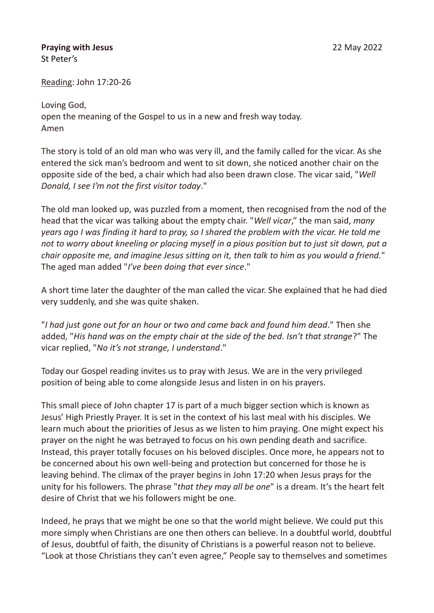## **Praying with Jesus** 22 May 2022 St Peter's

Reading: John 17:20-26

Loving God, open the meaning of the Gospel to us in a new and fresh way today. Amen

The story is told of an old man who was very ill, and the family called for the vicar. As she entered the sick man's bedroom and went to sit down, she noticed another chair on the opposite side of the bed, a chair which had also been drawn close. The vicar said, "*Well Donald, I see I'm not the first visitor today*."

The old man looked up, was puzzled from a moment, then recognised from the nod of the head that the vicar was talking about the empty chair. "*Well vicar*," the man said, *many years ago I was finding it hard to pray, so I shared the problem with the vicar. He told me not to worry about kneeling or placing myself in a pious position but to just sit down, put a chair opposite me, and imagine Jesus sitting on it, then talk to him as you would a friend.*" The aged man added "*I've been doing that ever since*."

A short time later the daughter of the man called the vicar. She explained that he had died very suddenly, and she was quite shaken.

"*I had just gone out for an hour or two and came back and found him dead*." Then she added, "*His hand was on the empty chair at the side of the bed. Isn't that strange*?" The vicar replied, "*No it's not strange, I understand*."

Today our Gospel reading invites us to pray with Jesus. We are in the very privileged position of being able to come alongside Jesus and listen in on his prayers.

This small piece of John chapter 17 is part of a much bigger section which is known as Jesus' High Priestly Prayer. It is set in the context of his last meal with his disciples. We learn much about the priorities of Jesus as we listen to him praying. One might expect his prayer on the night he was betrayed to focus on his own pending death and sacrifice. Instead, this prayer totally focuses on his beloved disciples. Once more, he appears not to be concerned about his own well-being and protection but concerned for those he is leaving behind. The climax of the prayer begins in John 17:20 when Jesus prays for the unity for his followers. The phrase "*that they may all be one*" is a dream. It's the heart felt desire of Christ that we his followers might be one.

Indeed, he prays that we might be one so that the world might believe. We could put this more simply when Christians are one then others can believe. In a doubtful world, doubtful of Jesus, doubtful of faith, the disunity of Christians is a powerful reason not to believe. "Look at those Christians they can't even agree," People say to themselves and sometimes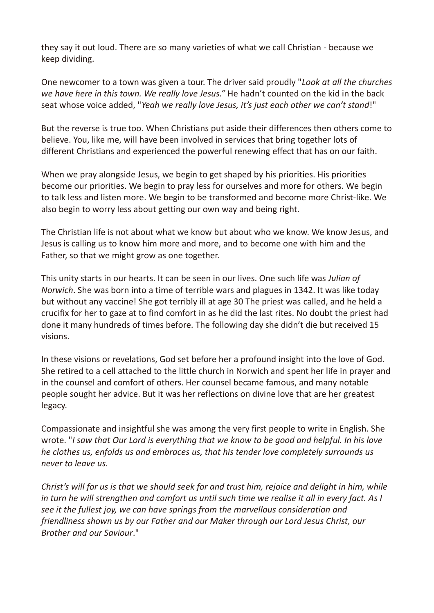they say it out loud. There are so many varieties of what we call Christian - because we keep dividing.

One newcomer to a town was given a tour. The driver said proudly "*Look at all the churches we have here in this town. We really love Jesus."* He hadn't counted on the kid in the back seat whose voice added, "*Yeah we really love Jesus, it's just each other we can't stand*!"

But the reverse is true too. When Christians put aside their differences then others come to believe. You, like me, will have been involved in services that bring together lots of different Christians and experienced the powerful renewing effect that has on our faith.

When we pray alongside Jesus, we begin to get shaped by his priorities. His priorities become our priorities. We begin to pray less for ourselves and more for others. We begin to talk less and listen more. We begin to be transformed and become more Christ-like. We also begin to worry less about getting our own way and being right.

The Christian life is not about what we know but about who we know. We know Jesus, and Jesus is calling us to know him more and more, and to become one with him and the Father, so that we might grow as one together.

This unity starts in our hearts. It can be seen in our lives. One such life was *Julian of Norwich*. She was born into a time of terrible wars and plagues in 1342. It was like today but without any vaccine! She got terribly ill at age 30 The priest was called, and he held a crucifix for her to gaze at to find comfort in as he did the last rites. No doubt the priest had done it many hundreds of times before. The following day she didn't die but received 15 visions.

In these visions or revelations, God set before her a profound insight into the love of God. She retired to a cell attached to the little church in Norwich and spent her life in prayer and in the counsel and comfort of others. Her counsel became famous, and many notable people sought her advice. But it was her reflections on divine love that are her greatest legacy.

Compassionate and insightful she was among the very first people to write in English. She wrote. "*I saw that Our Lord is everything that we know to be good and helpful. In his love he clothes us, enfolds us and embraces us, that his tender love completely surrounds us never to leave us.*

*Christ's will for us is that we should seek for and trust him, rejoice and delight in him, while in turn he will strengthen and comfort us until such time we realise it all in every fact. As I see it the fullest joy, we can have springs from the marvellous consideration and friendliness shown us by our Father and our Maker through our Lord Jesus Christ, our Brother and our Saviour*."